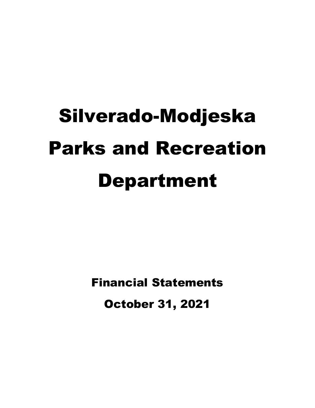# Silverado-Modjeska Parks and Recreation Department

Financial Statements October 31, 2021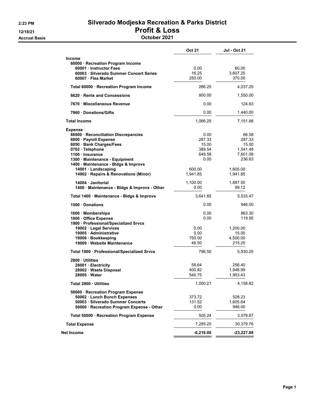## 2:23 PM Silverado Modjeska Recreation & Parks District 12/18/21 Profit & Loss

Accrual Basis October 2021

|                                                                             | <b>Oct 21</b>      | <b>Jul - Oct 21</b>         |
|-----------------------------------------------------------------------------|--------------------|-----------------------------|
| <b>Income</b><br>60000 · Recreation Program Income<br>60001 Instructor Fees | 0.00               |                             |
| 60003 Silverado Summer Concert Series<br>60007 · Flea Market                | 16.25<br>250.00    | 60.00<br>3,607.25<br>370.00 |
| Total 60000 · Recreation Program Income                                     | 266.25             | 4,037.25                    |
| 6620 Rents and Concessions                                                  | 800.00             | 1,550.00                    |
| 7670 Miscellaneous Revenue                                                  | 0.00               | 124.63                      |
| 7960 Donations/Gifts                                                        | 0.00               | 1,440.00                    |
| <b>Total Income</b>                                                         | 1,066.25           | 7,151.88                    |
| <b>Expense</b>                                                              |                    |                             |
| 66900 · Reconciliation Discrepancies                                        | 0.00<br>287.33     | 66.58<br>287.33             |
| 6800 · Payroll Expense<br>6050 · Bank Charges/Fees                          | 15.00              | 15.00                       |
| 0702 · Telephone                                                            | 389.54             | 1,541.48                    |
| 1100 · Insurance                                                            | 649.58             | 7,601.08                    |
| 1300 · Maintenance - Equipment<br>1400 · Maintenance - Bldgs & Improvs      | 0.00               | 236.63                      |
| 14001 · Landscaping<br>14002 · Repairs & Renovations (Minor)                | 600.00<br>1,941.85 | 1,605.00<br>1,941.85        |
| 14004 Janitorial<br>1400 · Maintenance - Bldgs & Improvs - Other            | 1,100.00<br>0.00   | 1,887.50<br>99.12           |
| Total 1400 · Maintenance - Bldgs & Improvs                                  | 3,641.85           | 5,533.47                    |
| 1500 Donations                                                              | 0.00               | 946.00                      |
| 1600 · Memberships                                                          | 0.00               | 863.30                      |
| 1800 Office Expense                                                         | 0.00               | 119.95                      |
| 1900 · Professional/Specialized Srvcs                                       |                    |                             |
| 19002 · Legal Services                                                      | 0.00               | 1,200.00                    |
| 19005 Administrative                                                        | 0.00               | 15.00                       |
| 19006 · Bookkeeping<br>19009 Website Maintenance                            | 750.00<br>46.50    | 4,500.00<br>215.25          |
| Total 1900 · Professional/Specialized Srvcs                                 | 796.50             | 5,930.25                    |
| 2800 Utilities                                                              |                    |                             |
| 28001 · Electricity                                                         | 58.64              | 256.40                      |
| 28002 · Waste Disposal<br>28005 Water                                       | 400.82<br>540.75   | 1,948.99<br>1,953.43        |
| Total 2800 · Utilities                                                      | 1,000.21           | 4,158.82                    |
| 50000 · Recreation Program Expense                                          |                    |                             |
| 50002 · Lunch Bunch Expenses                                                | 373.72             | 528.23                      |
| 50003 · Silverado Summer Concerts                                           | 131.52             | 1,605.64                    |
| 50000 · Recreation Program Expense - Other                                  | 0.00               | 946.00                      |
| Total 50000 · Recreation Program Expense                                    | 505.24             | 3,079.87                    |
| <b>Total Expense</b>                                                        | 7,285.25           | 30,379.76                   |
| Net Income                                                                  | $-6,219.00$        | -23,227.88                  |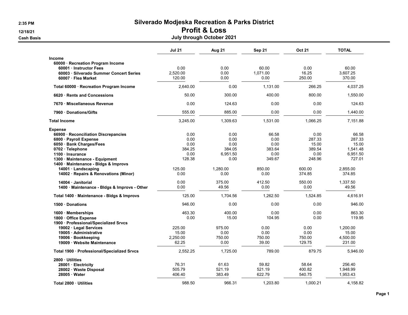2:35 PM Silverado Modjeska Recreation & Parks District 12/18/21 Profit & Loss

#### Cash Basis July through October 2021

|                                                                        | <b>Jul 21</b> | <b>Aug 21</b> | Sep 21   | <b>Oct 21</b> | <b>TOTAL</b> |
|------------------------------------------------------------------------|---------------|---------------|----------|---------------|--------------|
| <b>Income</b>                                                          |               |               |          |               |              |
| 60000 · Recreation Program Income                                      |               |               |          |               |              |
| 60001 · Instructor Fees                                                | 0.00          | 0.00          | 60.00    | 0.00          | 60.00        |
| 60003 · Silverado Summer Concert Series                                | 2,520.00      | 0.00          | 1.071.00 | 16.25         | 3.607.25     |
| 60007 · Flea Market                                                    | 120.00        | 0.00          | 0.00     | 250.00        | 370.00       |
| Total 60000 · Recreation Program Income                                | 2,640.00      | 0.00          | 1,131.00 | 266.25        | 4,037.25     |
| 6620 · Rents and Concessions                                           | 50.00         | 300.00        | 400.00   | 800.00        | 1,550.00     |
| 7670 Miscellaneous Revenue                                             | 0.00          | 124.63        | 0.00     | 0.00          | 124.63       |
| 7960 · Donations/Gifts                                                 | 555.00        | 885.00        | 0.00     | 0.00          | 1,440.00     |
| <b>Total Income</b>                                                    | 3,245.00      | 1,309.63      | 1,531.00 | 1,066.25      | 7,151.88     |
| <b>Expense</b>                                                         |               |               |          |               |              |
| 66900 · Reconciliation Discrepancies                                   | 0.00          | 0.00          | 66.58    | 0.00          | 66.58        |
| 6800 · Payroll Expense                                                 | 0.00          | 0.00          | 0.00     | 287.33        | 287.33       |
| 6050 · Bank Charges/Fees                                               | 0.00          | 0.00          | 0.00     | 15.00         | 15.00        |
| 0702 · Telephone                                                       | 384.25        | 384.05        | 383.64   | 389.54        | 1,541.48     |
| 1100 · Insurance                                                       | 0.00          | 6,951.50      | 0.00     | 0.00          | 6,951.50     |
| 1300 · Maintenance - Equipment<br>1400 · Maintenance - Bldgs & Improvs | 128.38        | 0.00          | 349.67   | 248.96        | 727.01       |
| 14001 · Landscaping                                                    | 125.00        | 1,280.00      | 850.00   | 600.00        | 2.855.00     |
| 14002 · Repairs & Renovations (Minor)                                  | 0.00          | 0.00          | 0.00     | 374.85        | 374.85       |
| 14004 · Janitorial                                                     | 0.00          | 375.00        | 412.50   | 550.00        | 1,337.50     |
| 1400 · Maintenance - Bldgs & Improvs - Other                           | 0.00          | 49.56         | 0.00     | 0.00          | 49.56        |
| Total 1400 · Maintenance - Bldgs & Improvs                             | 125.00        | 1,704.56      | 1,262.50 | 1,524.85      | 4,616.91     |
| 1500 Donations                                                         | 946.00        | 0.00          | 0.00     | 0.00          | 946.00       |
| 1600 Memberships                                                       | 463.30        | 400.00        | 0.00     | 0.00          | 863.30       |
| 1800 Office Expense                                                    | 0.00          | 15.00         | 104.95   | 0.00          | 119.95       |
| 1900 · Professional/Specialized Srvcs                                  |               |               |          |               |              |
| 19002 · Legal Services                                                 | 225.00        | 975.00        | 0.00     | 0.00          | 1,200.00     |
| 19005 · Administrative                                                 | 15.00         | 0.00          | 0.00     | 0.00          | 15.00        |
| 19006 · Bookkeeping                                                    | 2,250.00      | 750.00        | 750.00   | 750.00        | 4,500.00     |
| 19009 · Website Maintenance                                            | 62.25         | 0.00          | 39.00    | 129.75        | 231.00       |
| Total 1900 · Professional/Specialized Srvcs                            | 2,552.25      | 1.725.00      | 789.00   | 879.75        | 5.946.00     |
| 2800 Utilities                                                         |               |               |          |               |              |
| 28001 · Electricity                                                    | 76.31         | 61.63         | 59.82    | 58.64         | 256.40       |
| 28002 · Waste Disposal                                                 | 505.79        | 521.19        | 521.19   | 400.82        | 1,948.99     |
| 28005 · Water                                                          | 406.40        | 383.49        | 622.79   | 540.75        | 1,953.43     |
| Total 2800 · Utilities                                                 | 988.50        | 966.31        | 1.203.80 | 1.000.21      | 4.158.82     |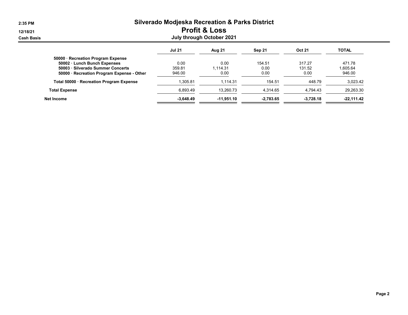| 2:35 PM    | <b>Silverado Modjeska Recreation &amp; Parks District</b> |               |              |             |               |              |  |  |  |  |
|------------|-----------------------------------------------------------|---------------|--------------|-------------|---------------|--------------|--|--|--|--|
| 12/18/21   | <b>Profit &amp; Loss</b>                                  |               |              |             |               |              |  |  |  |  |
| Cash Basis | July through October 2021                                 |               |              |             |               |              |  |  |  |  |
|            |                                                           | <b>Jul 21</b> | Aug 21       | Sep 21      | <b>Oct 21</b> | <b>TOTAL</b> |  |  |  |  |
|            | 50000 · Recreation Program Expense                        |               |              |             |               |              |  |  |  |  |
|            | 50002 · Lunch Bunch Expenses                              | 0.00          | 0.00         | 154.51      | 317.27        | 471.78       |  |  |  |  |
|            | 50003 · Silverado Summer Concerts                         | 359.81        | 1.114.31     | 0.00        | 131.52        | 1,605.64     |  |  |  |  |
|            | 50000 · Recreation Program Expense - Other                | 946.00        | 0.00         | 0.00        | 0.00          | 946.00       |  |  |  |  |
|            | Total 50000 · Recreation Program Expense                  | 1,305.81      | 1,114.31     | 154.51      | 448.79        | 3,023.42     |  |  |  |  |
|            | <b>Total Expense</b>                                      | 6,893.49      | 13,260.73    | 4,314.65    | 4.794.43      | 29,263.30    |  |  |  |  |
|            | Net Income                                                | $-3,648.49$   | $-11,951.10$ | $-2,783.65$ | $-3,728.18$   | $-22,111.42$ |  |  |  |  |
|            |                                                           |               |              |             |               |              |  |  |  |  |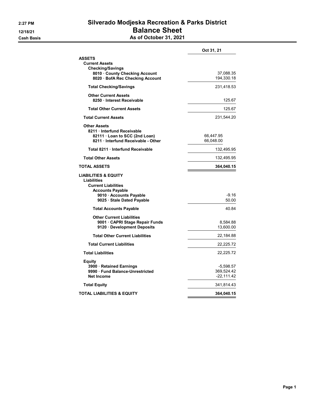# 2:27 PM Silverado Modjeska Recreation & Parks District 12/18/21 **Balance Sheet**

**Cash Basis** Cash Basis **As of October 31, 2021** 

|                                                                                                                                                                | Oct 31, 21                              |
|----------------------------------------------------------------------------------------------------------------------------------------------------------------|-----------------------------------------|
| <b>ASSETS</b><br><b>Current Assets</b><br>Checking/Savings<br>8010 County Checking Account<br>8020 · BofA Rec Checking Account                                 | 37,088.35<br>194,330.18                 |
| <b>Total Checking/Savings</b>                                                                                                                                  | 231,418.53                              |
| <b>Other Current Assets</b><br>8250 Interest Receivable                                                                                                        | 125.67                                  |
| <b>Total Other Current Assets</b>                                                                                                                              | 125.67                                  |
| <b>Total Current Assets</b>                                                                                                                                    | 231,544.20                              |
| <b>Other Assets</b><br>8211 Interfund Receivable<br>82111 · Loan to SCC (2nd Loan)<br>8211 Interfund Receivable - Other                                        | 66,447.95<br>66,048.00                  |
| Total 8211 · Interfund Receivable                                                                                                                              | 132,495.95                              |
| <b>Total Other Assets</b>                                                                                                                                      | 132,495.95                              |
| TOTAL ASSETS                                                                                                                                                   | 364,040.15                              |
| <b>LIABILITIES &amp; EQUITY</b><br>Liabilities<br><b>Current Liabilities</b><br><b>Accounts Payable</b><br>9010 Accounts Payable<br>9025 · Stale Dated Payable | $-9.16$<br>50.00                        |
| <b>Total Accounts Payable</b>                                                                                                                                  | 40.84                                   |
| <b>Other Current Liabilities</b><br>9001 CAPRI Stage Repair Funds<br>9120 Development Deposits                                                                 | 8,584.88<br>13,600.00                   |
| <b>Total Other Current Liabilities</b>                                                                                                                         | 22,184.88                               |
| <b>Total Current Liabilities</b>                                                                                                                               | 22,225.72                               |
| <b>Total Liabilities</b>                                                                                                                                       | 22,225.72                               |
| Equity<br>3900 · Retained Earnings<br>9990 Fund Balance-Unrestricted<br><b>Net Income</b>                                                                      | -5,598.57<br>369,524.42<br>$-22,111.42$ |
| <b>Total Equity</b>                                                                                                                                            | 341,814.43                              |
| TOTAL LIABILITIES & EQUITY                                                                                                                                     | 364,040.15                              |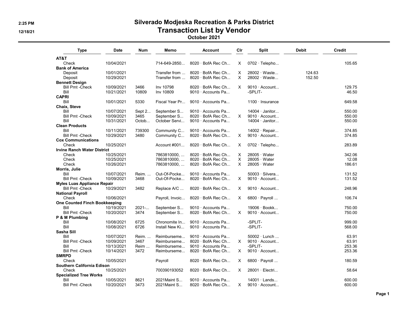## 2:25 PM Silverado Modjeska Recreation & Parks District 12/18/21 and the contraction Contraction List by Vendor

#### October 2021

| Type                                  | <b>Date</b> | <b>Num</b> | Memo            | Account                  | Cir      | <b>Split</b>           | <b>Debit</b> | <b>Credit</b> |
|---------------------------------------|-------------|------------|-----------------|--------------------------|----------|------------------------|--------------|---------------|
| AT&T                                  |             |            |                 |                          |          |                        |              |               |
| Check                                 | 10/04/2021  |            | 714-649-2850    | $8020 \cdot$ BofA Rec Ch | X        | $0702 \cdot$ Telepho   |              | 105.65        |
| <b>Bank of America</b>                |             |            |                 |                          |          |                        |              |               |
| Deposit                               | 10/01/2021  |            | Transfer from   | $8020 \cdot$ BofA Rec Ch | X        | 28002 · Waste          | 124.63       |               |
| Deposit                               | 10/29/2021  |            | Transfer from   | $8020 \cdot$ BofA Rec Ch | X        | 28002 · Waste          | 152.50       |               |
| <b>Bennett Design</b>                 |             |            |                 |                          |          |                        |              |               |
| <b>Bill Pmt -Check</b>                | 10/09/2021  | 3466       | Inv 10798       | $8020 \cdot$ BofA Rec Ch | X        | $9010 \cdot$ Account   |              | 129.75        |
| Bill                                  | 10/21/2021  | 10809      | Inv 10809       | 9010 · Accounts Pa       |          | -SPLIT-                |              | 46.50         |
| <b>CAPRI</b>                          |             |            |                 |                          |          |                        |              |               |
| Bill                                  | 10/01/2021  | 5330       | Fiscal Year Pr  | 9010 · Accounts Pa       |          | $1100 \cdot$ Insurance |              | 649.58        |
|                                       |             |            |                 |                          |          |                        |              |               |
| Chaix, Steve                          |             |            |                 |                          |          |                        |              |               |
| Bill                                  | 10/07/2021  | Sept 2     | September S     | 9010 · Accounts Pa       |          | 14004 · Janitor        |              | 550.00        |
| <b>Bill Pmt - Check</b>               | 10/09/2021  | 3465       | September S     | $8020 \cdot$ BofA Rec Ch | $\times$ | $9010 \cdot$ Account   |              | 550.00        |
| Bill                                  | 10/31/2021  | Octob      | October Servi   | 9010 · Accounts Pa       |          | $14004 \cdot$ Janitor  |              | 550.00        |
| <b>Clean Products</b>                 |             |            |                 |                          |          |                        |              |               |
| Bill                                  | 10/11/2021  | 739300     | Community C     | 9010 · Accounts Pa       |          | $14002 \cdot$ Repair   |              | 374.85        |
| <b>Bill Pmt -Check</b>                | 10/29/2021  | 3480       | Community C     | 8020 · BofA Rec Ch       | X        | $9010 \cdot$ Account   |              | 374.85        |
| <b>Cox Communications</b>             |             |            |                 |                          |          |                        |              |               |
| Check                                 | 10/25/2021  |            | Account #001    | 8020 · BofA Rec Ch       | X        | $0702 \cdot$ Telepho   |              | 283.89        |
| <b>Irvine Ranch Water District</b>    |             |            |                 |                          |          |                        |              |               |
| Check                                 | 10/25/2021  |            | 7863810000,     | 8020 · BofA Rec Ch       | X        | $28005 \cdot Water$    |              | 342.06        |
| Check                                 | 10/25/2021  |            | 7863810000      | $8020 \cdot$ BofA Rec Ch | X        | $28005 \cdot Water$    |              | 12.08         |
| Check                                 | 10/26/2021  |            | 7863810000,     | 8020 · BofA Rec Ch       | X        | $28005 \cdot Water$    |              | 186.61        |
| Morris, Julie                         |             |            |                 |                          |          |                        |              |               |
| Bill                                  | 10/07/2021  | Reim.      | Out-Of-Pocke    | 9010 · Accounts Pa       |          | 50003 · Silvera        |              | 131.52        |
| <b>Bill Pmt -Check</b>                | 10/09/2021  | 3468       | Out-Of-Pocke    | 8020 · BofA Rec Ch       | X        | $9010 \cdot$ Account   |              | 131.52        |
| <b>Myles Luas Appliance Repair</b>    |             |            |                 |                          |          |                        |              |               |
| <b>Bill Pmt -Check</b>                | 10/29/2021  | 3482       | Replace A/C     | 8020 · BofA Rec Ch       | X        | $9010 \cdot$ Account   |              | 248.96        |
|                                       |             |            |                 |                          |          |                        |              |               |
| <b>National Payroll</b>               |             |            |                 |                          |          |                        |              |               |
| Check                                 | 10/06/2021  |            | Payroll, Invoic | 8020 · BofA Rec Ch       | X        | $6800 \cdot$ Payroll   |              | 106.74        |
| One Counted Finch Bookkeeping         |             |            |                 |                          |          |                        |              |               |
| Bill                                  | 10/19/2021  | 2021-      | September S     | 9010 · Accounts Pa       |          | 19006 · Bookk          |              | 750.00        |
| <b>Bill Pmt - Check</b>               | 10/20/2021  | 3474       | September S     | $8020 \cdot$ BofA Rec Ch | X        | $9010 \cdot$ Account   |              | 750.00        |
| P & M Plumbing                        |             |            |                 |                          |          |                        |              |               |
| Bill                                  | 10/08/2021  | 6725       | Chronomite In   | 9010 · Accounts Pa       |          | -SPLIT-                |              | 999.00        |
| Bill                                  | 10/08/2021  | 6726       | Install New Ki  | 9010 · Accounts Pa       |          | -SPLIT-                |              | 568.00        |
| Sasha Sill                            |             |            |                 |                          |          |                        |              |               |
| Bill                                  | 10/07/2021  | Reim.      | Reimburseme     | $9010 \cdot$ Accounts Pa |          | 50002 · Lunch          |              | 63.91         |
| <b>Bill Pmt -Check</b>                | 10/09/2021  | 3467       | Reimburseme     | $8020 \cdot$ BofA Rec Ch | $\times$ | $9010 \cdot$ Account   |              | 63.91         |
| Bill                                  | 10/13/2021  | Reim       | Reimburseme     | 9010 · Accounts Pa       |          | -SPLIT-                |              | 253.36        |
| <b>Bill Pmt -Check</b>                | 10/14/2021  | 3472       | Reimburseme     | $8020 \cdot$ BofA Rec Ch | X        | $9010 \cdot$ Account   |              | 253.36        |
| <b>SMRPD</b>                          |             |            |                 |                          |          |                        |              |               |
| Check                                 | 10/05/2021  |            | Payroll         | $8020 \cdot$ BofA Rec Ch | X        | $6800 \cdot$ Payroll   |              | 180.59        |
| <b>Southern California Edison</b>     |             |            |                 |                          |          |                        |              |               |
| Check                                 | 10/25/2021  |            | 700390193052    | $8020 \cdot$ BofA Rec Ch | X        | 28001 · Electri        |              | 58.64         |
|                                       |             |            |                 |                          |          |                        |              |               |
| <b>Specialized Tree Works</b><br>Bill |             |            |                 | 9010 · Accounts Pa       |          | $14001 \cdot$ Lands    |              |               |
|                                       | 10/05/2021  | 8621       | 2021 Maint S    |                          |          |                        |              | 600.00        |
| <b>Bill Pmt -Check</b>                | 10/20/2021  | 3473       | 2021 Maint S    | $8020 \cdot$ BofA Rec Ch | X        | $9010 \cdot$ Account   |              | 600.00        |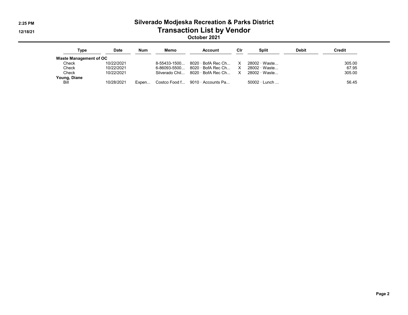# 2:25 PM Silverado Modjeska Recreation & Parks District 12/18/21 and the contraction Contraction List by Vendor

October 2021

| Type                   | Date       | <b>Num</b> | Memo           | Account                                | Cir | Split               | <b>Debit</b> | Credit |
|------------------------|------------|------------|----------------|----------------------------------------|-----|---------------------|--------------|--------|
| Waste Management of OC |            |            |                |                                        |     |                     |              |        |
| Check                  | 10/22/2021 |            | $8-55433-1500$ | 8020 · BofA Rec Ch X                   |     | 28002 Waste         |              | 305.00 |
| Check                  | 10/22/2021 |            | 6-86093-5500   | 8020 · BofA Rec Ch X                   |     | 28002 Waste         |              | 67.95  |
| Check                  | 10/22/2021 |            |                | Silverado Chil 8020 · BofA Rec Ch X    |     | 28002 · Waste       |              | 305.00 |
| Young, Diane           |            |            |                |                                        |     |                     |              |        |
| Bill                   | 10/28/2021 | Expen      |                | Costco Food f $9010 \cdot$ Accounts Pa |     | $50002 \cdot$ Lunch |              | 56.45  |